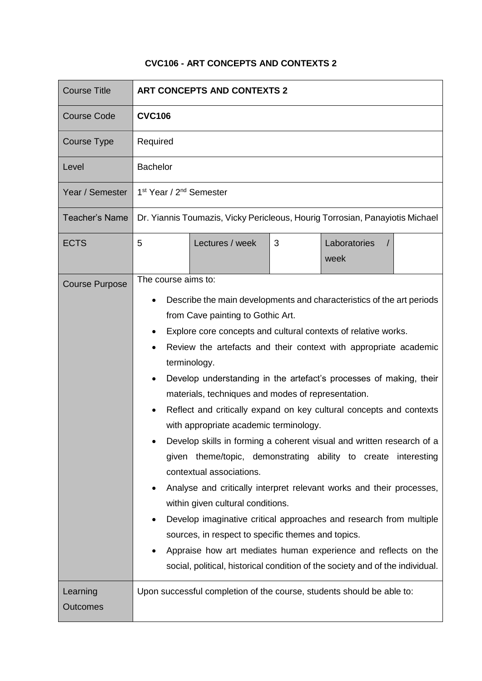## **CVC106 - ART CONCEPTS AND CONTEXTS 2**

| <b>Course Title</b>         | <b>ART CONCEPTS AND CONTEXTS 2</b>                                                                                                                                                                                                                                                                                                                                                                                                                                                                                                                                                                                                                                                                                                                                                                                                                                                                                                                                                                                                                                                                      |
|-----------------------------|---------------------------------------------------------------------------------------------------------------------------------------------------------------------------------------------------------------------------------------------------------------------------------------------------------------------------------------------------------------------------------------------------------------------------------------------------------------------------------------------------------------------------------------------------------------------------------------------------------------------------------------------------------------------------------------------------------------------------------------------------------------------------------------------------------------------------------------------------------------------------------------------------------------------------------------------------------------------------------------------------------------------------------------------------------------------------------------------------------|
| <b>Course Code</b>          | <b>CVC106</b>                                                                                                                                                                                                                                                                                                                                                                                                                                                                                                                                                                                                                                                                                                                                                                                                                                                                                                                                                                                                                                                                                           |
| Course Type                 | Required                                                                                                                                                                                                                                                                                                                                                                                                                                                                                                                                                                                                                                                                                                                                                                                                                                                                                                                                                                                                                                                                                                |
| Level                       | <b>Bachelor</b>                                                                                                                                                                                                                                                                                                                                                                                                                                                                                                                                                                                                                                                                                                                                                                                                                                                                                                                                                                                                                                                                                         |
| Year / Semester             | 1 <sup>st</sup> Year / 2 <sup>nd</sup> Semester                                                                                                                                                                                                                                                                                                                                                                                                                                                                                                                                                                                                                                                                                                                                                                                                                                                                                                                                                                                                                                                         |
| <b>Teacher's Name</b>       | Dr. Yiannis Toumazis, Vicky Pericleous, Hourig Torrosian, Panayiotis Michael                                                                                                                                                                                                                                                                                                                                                                                                                                                                                                                                                                                                                                                                                                                                                                                                                                                                                                                                                                                                                            |
| <b>ECTS</b>                 | Laboratories<br>5<br>Lectures / week<br>3<br>week                                                                                                                                                                                                                                                                                                                                                                                                                                                                                                                                                                                                                                                                                                                                                                                                                                                                                                                                                                                                                                                       |
| <b>Course Purpose</b>       | The course aims to:<br>Describe the main developments and characteristics of the art periods<br>from Cave painting to Gothic Art.<br>Explore core concepts and cultural contexts of relative works.<br>Review the artefacts and their context with appropriate academic<br>terminology.<br>Develop understanding in the artefact's processes of making, their<br>materials, techniques and modes of representation.<br>Reflect and critically expand on key cultural concepts and contexts<br>with appropriate academic terminology.<br>Develop skills in forming a coherent visual and written research of a<br>given theme/topic, demonstrating ability to create interesting<br>contextual associations.<br>Analyse and critically interpret relevant works and their processes,<br>within given cultural conditions.<br>Develop imaginative critical approaches and research from multiple<br>sources, in respect to specific themes and topics.<br>Appraise how art mediates human experience and reflects on the<br>social, political, historical condition of the society and of the individual. |
| Learning<br><b>Outcomes</b> | Upon successful completion of the course, students should be able to:                                                                                                                                                                                                                                                                                                                                                                                                                                                                                                                                                                                                                                                                                                                                                                                                                                                                                                                                                                                                                                   |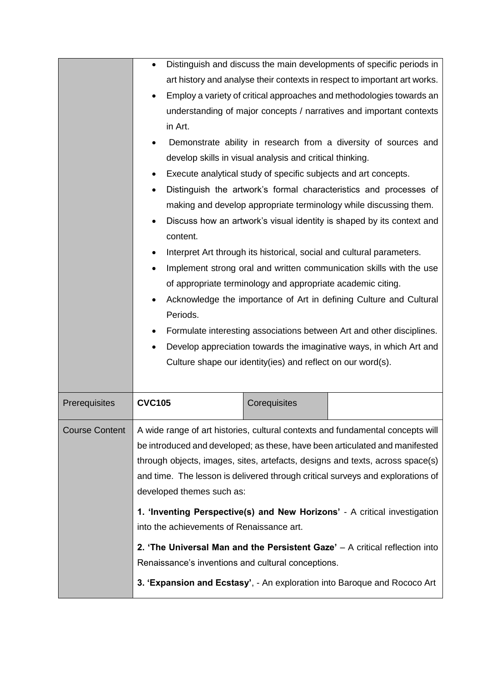|                       | Distinguish and discuss the main developments of specific periods in<br>$\bullet$              |
|-----------------------|------------------------------------------------------------------------------------------------|
|                       | art history and analyse their contexts in respect to important art works.                      |
|                       | Employ a variety of critical approaches and methodologies towards an<br>$\bullet$              |
|                       | understanding of major concepts / narratives and important contexts                            |
|                       | in Art.                                                                                        |
|                       | Demonstrate ability in research from a diversity of sources and                                |
|                       | develop skills in visual analysis and critical thinking.                                       |
|                       | Execute analytical study of specific subjects and art concepts.<br>٠                           |
|                       | Distinguish the artwork's formal characteristics and processes of<br>$\bullet$                 |
|                       | making and develop appropriate terminology while discussing them.                              |
|                       | Discuss how an artwork's visual identity is shaped by its context and<br>$\bullet$<br>content. |
|                       | Interpret Art through its historical, social and cultural parameters.<br>٠                     |
|                       | Implement strong oral and written communication skills with the use<br>$\bullet$               |
|                       | of appropriate terminology and appropriate academic citing.                                    |
|                       | Acknowledge the importance of Art in defining Culture and Cultural<br>$\bullet$                |
|                       | Periods.                                                                                       |
|                       | Formulate interesting associations between Art and other disciplines.<br>٠                     |
|                       | Develop appreciation towards the imaginative ways, in which Art and<br>$\bullet$               |
|                       | Culture shape our identity(ies) and reflect on our word(s).                                    |
|                       |                                                                                                |
|                       |                                                                                                |
| Prerequisites         | <b>CVC105</b><br>Corequisites                                                                  |
| <b>Course Content</b> | A wide range of art histories, cultural contexts and fundamental concepts will                 |
|                       | be introduced and developed; as these, have been articulated and manifested                    |
|                       | through objects, images, sites, artefacts, designs and texts, across space(s)                  |
|                       | and time. The lesson is delivered through critical surveys and explorations of                 |
|                       | developed themes such as:                                                                      |
|                       | 1. 'Inventing Perspective(s) and New Horizons' - A critical investigation                      |
|                       | into the achievements of Renaissance art.                                                      |
|                       | 2. 'The Universal Man and the Persistent Gaze' $-$ A critical reflection into                  |
|                       | Renaissance's inventions and cultural conceptions.                                             |
|                       | 3. 'Expansion and Ecstasy', - An exploration into Baroque and Rococo Art                       |
|                       |                                                                                                |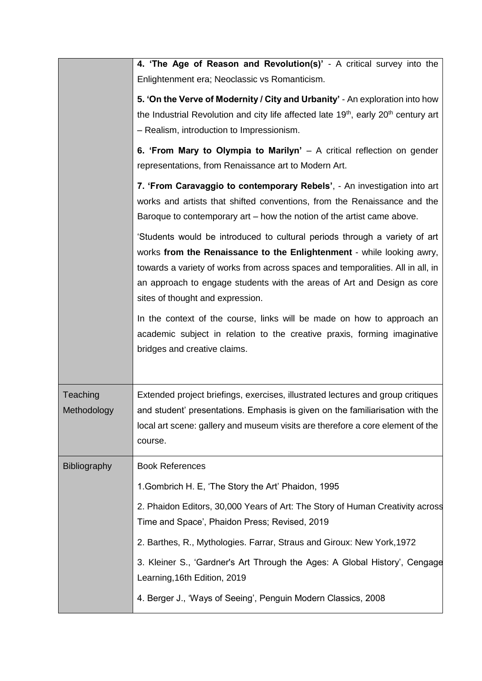|                         | 4. 'The Age of Reason and Revolution(s)' - A critical survey into the<br>Enlightenment era; Neoclassic vs Romanticism.                                                                                                                                                                                                                                |
|-------------------------|-------------------------------------------------------------------------------------------------------------------------------------------------------------------------------------------------------------------------------------------------------------------------------------------------------------------------------------------------------|
|                         | 5. 'On the Verve of Modernity / City and Urbanity' - An exploration into how<br>the Industrial Revolution and city life affected late 19 <sup>th</sup> , early 20 <sup>th</sup> century art<br>- Realism, introduction to Impressionism.                                                                                                              |
|                         | 6. 'From Mary to Olympia to Marilyn' $-$ A critical reflection on gender<br>representations, from Renaissance art to Modern Art.                                                                                                                                                                                                                      |
|                         | 7. 'From Caravaggio to contemporary Rebels', - An investigation into art<br>works and artists that shifted conventions, from the Renaissance and the<br>Baroque to contemporary art – how the notion of the artist came above.                                                                                                                        |
|                         | 'Students would be introduced to cultural periods through a variety of art<br>works from the Renaissance to the Enlightenment - while looking awry,<br>towards a variety of works from across spaces and temporalities. All in all, in<br>an approach to engage students with the areas of Art and Design as core<br>sites of thought and expression. |
|                         | In the context of the course, links will be made on how to approach an<br>academic subject in relation to the creative praxis, forming imaginative<br>bridges and creative claims.                                                                                                                                                                    |
| Teaching<br>Methodology | Extended project briefings, exercises, illustrated lectures and group critiques<br>and student' presentations. Emphasis is given on the familiarisation with the<br>local art scene: gallery and museum visits are therefore a core element of the<br>course.                                                                                         |
| <b>Bibliography</b>     | <b>Book References</b>                                                                                                                                                                                                                                                                                                                                |
|                         | 1. Gombrich H. E, 'The Story the Art' Phaidon, 1995                                                                                                                                                                                                                                                                                                   |
|                         | 2. Phaidon Editors, 30,000 Years of Art: The Story of Human Creativity across<br>Time and Space', Phaidon Press; Revised, 2019                                                                                                                                                                                                                        |
|                         | 2. Barthes, R., Mythologies. Farrar, Straus and Giroux: New York, 1972                                                                                                                                                                                                                                                                                |
|                         | 3. Kleiner S., 'Gardner's Art Through the Ages: A Global History', Cengage<br>Learning, 16th Edition, 2019                                                                                                                                                                                                                                            |
|                         | 4. Berger J., 'Ways of Seeing', Penguin Modern Classics, 2008                                                                                                                                                                                                                                                                                         |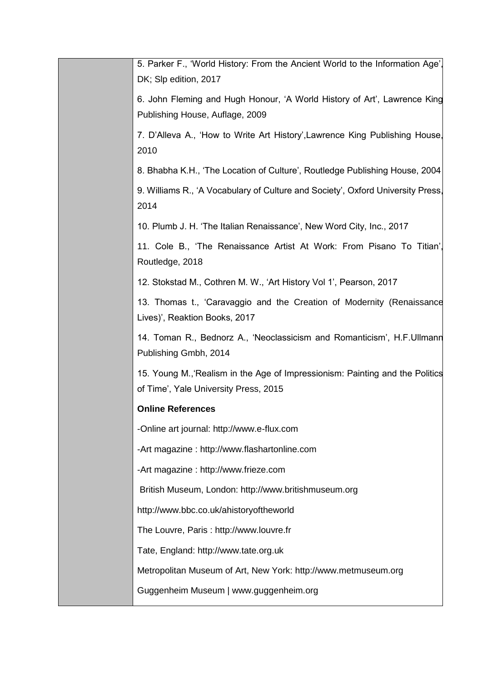| 5. Parker F., 'World History: From the Ancient World to the Information Age',<br>DK; Slp edition, 2017                |
|-----------------------------------------------------------------------------------------------------------------------|
| 6. John Fleming and Hugh Honour, 'A World History of Art', Lawrence King<br>Publishing House, Auflage, 2009           |
| 7. D'Alleva A., 'How to Write Art History', Lawrence King Publishing House,<br>2010                                   |
| 8. Bhabha K.H., 'The Location of Culture', Routledge Publishing House, 2004                                           |
| 9. Williams R., 'A Vocabulary of Culture and Society', Oxford University Press,<br>2014                               |
| 10. Plumb J. H. 'The Italian Renaissance', New Word City, Inc., 2017                                                  |
| 11. Cole B., 'The Renaissance Artist At Work: From Pisano To Titian',<br>Routledge, 2018                              |
| 12. Stokstad M., Cothren M. W., 'Art History Vol 1', Pearson, 2017                                                    |
| 13. Thomas t., 'Caravaggio and the Creation of Modernity (Renaissance<br>Lives)', Reaktion Books, 2017                |
| 14. Toman R., Bednorz A., 'Neoclassicism and Romanticism', H.F.Ullmann<br>Publishing Gmbh, 2014                       |
| 15. Young M., Realism in the Age of Impressionism: Painting and the Politics<br>of Time', Yale University Press, 2015 |
| <b>Online References</b>                                                                                              |
| -Online art journal: http://www.e-flux.com                                                                            |
| -Art magazine: http://www.flashartonline.com                                                                          |
| -Art magazine : http://www.frieze.com                                                                                 |
| British Museum, London: http://www.britishmuseum.org                                                                  |
| http://www.bbc.co.uk/ahistoryoftheworld                                                                               |
| The Louvre, Paris: http://www.louvre.fr                                                                               |
| Tate, England: http://www.tate.org.uk                                                                                 |
| Metropolitan Museum of Art, New York: http://www.metmuseum.org                                                        |
| Guggenheim Museum   www.guggenheim.org                                                                                |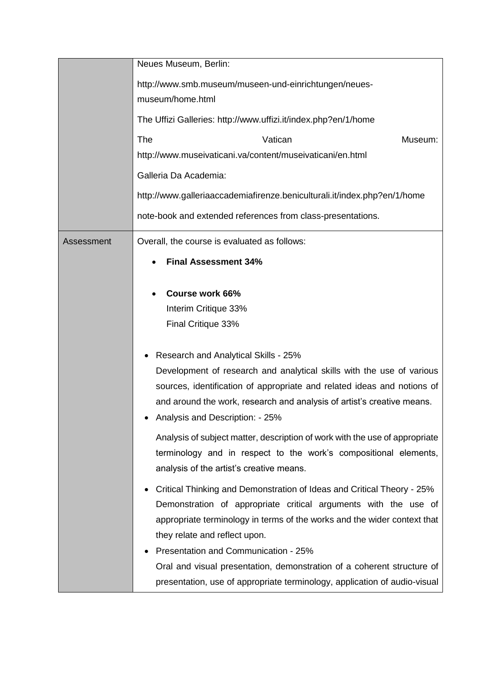|            | Neues Museum, Berlin:                                                                                                                                                                                                                                                  |
|------------|------------------------------------------------------------------------------------------------------------------------------------------------------------------------------------------------------------------------------------------------------------------------|
|            | http://www.smb.museum/museen-und-einrichtungen/neues-<br>museum/home.html                                                                                                                                                                                              |
|            | The Uffizi Galleries: http://www.uffizi.it/index.php?en/1/home                                                                                                                                                                                                         |
|            | The<br>Vatican<br>Museum:                                                                                                                                                                                                                                              |
|            | http://www.museivaticani.va/content/museivaticani/en.html                                                                                                                                                                                                              |
|            | Galleria Da Academia:                                                                                                                                                                                                                                                  |
|            | http://www.galleriaaccademiafirenze.beniculturali.it/index.php?en/1/home                                                                                                                                                                                               |
|            | note-book and extended references from class-presentations.                                                                                                                                                                                                            |
| Assessment | Overall, the course is evaluated as follows:                                                                                                                                                                                                                           |
|            | <b>Final Assessment 34%</b>                                                                                                                                                                                                                                            |
|            | Course work 66%<br>$\bullet$<br>Interim Critique 33%<br>Final Critique 33%<br>Research and Analytical Skills - 25%<br>Development of research and analytical skills with the use of various<br>sources, identification of appropriate and related ideas and notions of |
|            | and around the work, research and analysis of artist's creative means.<br>Analysis and Description: - 25%                                                                                                                                                              |
|            | Analysis of subject matter, description of work with the use of appropriate<br>terminology and in respect to the work's compositional elements,<br>analysis of the artist's creative means.                                                                            |
|            | Critical Thinking and Demonstration of Ideas and Critical Theory - 25%<br>Demonstration of appropriate critical arguments with the use of<br>appropriate terminology in terms of the works and the wider context that<br>they relate and reflect upon.                 |
|            | Presentation and Communication - 25%<br>Oral and visual presentation, demonstration of a coherent structure of<br>presentation, use of appropriate terminology, application of audio-visual                                                                            |